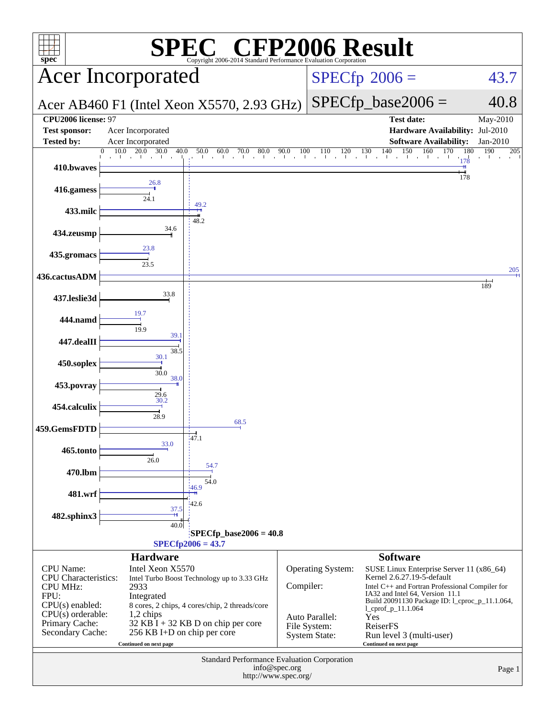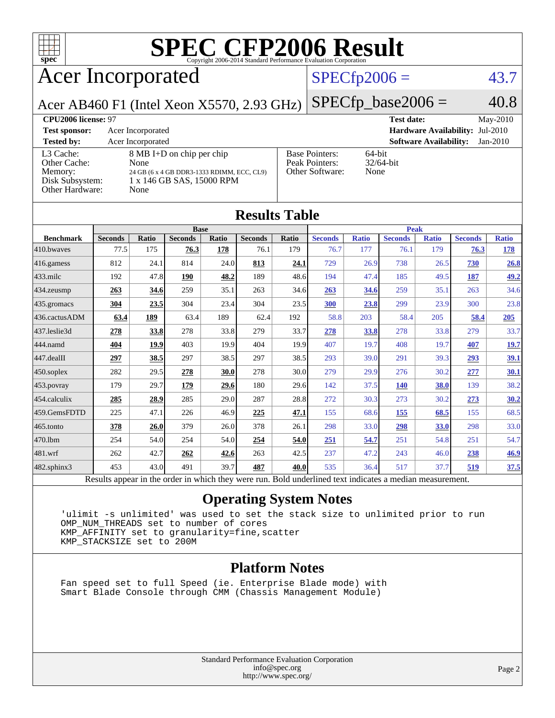

# **[SPEC CFP2006 Result](http://www.spec.org/auto/cpu2006/Docs/result-fields.html#SPECCFP2006Result)**

## Acer Incorporated

### $SPECfp2006 = 43.7$  $SPECfp2006 = 43.7$

Acer AB460 F1 (Intel Xeon X5570, 2.93 GHz)

 $SPECTp\_base2006 = 40.8$ 

### **[CPU2006 license:](http://www.spec.org/auto/cpu2006/Docs/result-fields.html#CPU2006license)** 97 **[Test date:](http://www.spec.org/auto/cpu2006/Docs/result-fields.html#Testdate)** May-2010 **[Test sponsor:](http://www.spec.org/auto/cpu2006/Docs/result-fields.html#Testsponsor)** Acer Incorporated **[Hardware Availability:](http://www.spec.org/auto/cpu2006/Docs/result-fields.html#HardwareAvailability)** Jul-2010 **[Tested by:](http://www.spec.org/auto/cpu2006/Docs/result-fields.html#Testedby)** Acer Incorporated **[Software Availability:](http://www.spec.org/auto/cpu2006/Docs/result-fields.html#SoftwareAvailability)** Jan-2010 [L3 Cache:](http://www.spec.org/auto/cpu2006/Docs/result-fields.html#L3Cache) 8 MB I+D on chip per chip<br>Other Cache: None [Other Cache:](http://www.spec.org/auto/cpu2006/Docs/result-fields.html#OtherCache) [Memory:](http://www.spec.org/auto/cpu2006/Docs/result-fields.html#Memory) 24 GB (6 x 4 GB DDR3-1333 RDIMM, ECC, CL9) [Disk Subsystem:](http://www.spec.org/auto/cpu2006/Docs/result-fields.html#DiskSubsystem) 1 x 146 GB SAS, 15000 RPM [Other Hardware:](http://www.spec.org/auto/cpu2006/Docs/result-fields.html#OtherHardware) None [Base Pointers:](http://www.spec.org/auto/cpu2006/Docs/result-fields.html#BasePointers) 64-bit<br>Peak Pointers: 32/64-bit [Peak Pointers:](http://www.spec.org/auto/cpu2006/Docs/result-fields.html#PeakPointers) [Other Software:](http://www.spec.org/auto/cpu2006/Docs/result-fields.html#OtherSoftware) None

| <b>Results Table</b>                                                                                     |                |             |                |       |                |             |                |              |                |              |                |              |
|----------------------------------------------------------------------------------------------------------|----------------|-------------|----------------|-------|----------------|-------------|----------------|--------------|----------------|--------------|----------------|--------------|
|                                                                                                          | <b>Base</b>    |             |                |       |                | <b>Peak</b> |                |              |                |              |                |              |
| <b>Benchmark</b>                                                                                         | <b>Seconds</b> | Ratio       | <b>Seconds</b> | Ratio | <b>Seconds</b> | Ratio       | <b>Seconds</b> | <b>Ratio</b> | <b>Seconds</b> | <b>Ratio</b> | <b>Seconds</b> | <b>Ratio</b> |
| 410.bwayes                                                                                               | 77.5           | 175         | 76.3           | 178   | 76.1           | 179         | 76.7           | 177          | 76.1           | 179          | 76.3           | 178          |
| 416.gamess                                                                                               | 812            | 24.1        | 814            | 24.0  | 813            | 24.1        | 729            | 26.9         | 738            | 26.5         | 730            | 26.8         |
| $ 433 \text{.}$ milc                                                                                     | 192            | 47.8        | 190            | 48.2  | 189            | 48.6        | 194            | 47.4         | 185            | 49.5         | 187            | 49.2         |
| 434.zeusmp                                                                                               | 263            | 34.6        | 259            | 35.1  | 263            | 34.6        | 263            | 34.6         | 259            | 35.1         | 263            | 34.6         |
| $435.$ gromacs                                                                                           | 304            | 23.5        | 304            | 23.4  | 304            | 23.5        | 300            | 23.8         | 299            | 23.9         | 300            | 23.8         |
| 436.cactusADM                                                                                            | 63.4           | 189         | 63.4           | 189   | 62.4           | 192         | 58.8           | 203          | 58.4           | 205          | 58.4           | 205          |
| 437.leslie3d                                                                                             | 278            | 33.8        | 278            | 33.8  | 279            | 33.7        | 278            | 33.8         | 278            | 33.8         | 279            | 33.7         |
| 444.namd                                                                                                 | 404            | <u>19.9</u> | 403            | 19.9  | 404            | 19.9        | 407            | 19.7         | 408            | 19.7         | 407            | <u>19.7</u>  |
| $ 447 \text{.}$ dealII                                                                                   | 297            | 38.5        | 297            | 38.5  | 297            | 38.5        | 293            | 39.0         | 291            | 39.3         | 293            | <u>39.1</u>  |
| $450$ .soplex                                                                                            | 282            | 29.5        | 278            | 30.0  | 278            | 30.0        | 279            | 29.9         | 276            | 30.2         | 277            | <u>30.1</u>  |
| $453$ .povray                                                                                            | 179            | 29.7        | 179            | 29.6  | 180            | 29.6        | 142            | 37.5         | 140            | 38.0         | 139            | 38.2         |
| $454$ .calculix                                                                                          | 285            | 28.9        | 285            | 29.0  | 287            | 28.8        | 272            | 30.3         | 273            | 30.2         | 273            | 30.2         |
| 459.GemsFDTD                                                                                             | 225            | 47.1        | 226            | 46.9  | 225            | 47.1        | 155            | 68.6         | 155            | 68.5         | 155            | 68.5         |
| $465$ .tonto                                                                                             | 378            | 26.0        | 379            | 26.0  | 378            | 26.1        | 298            | 33.0         | 298            | 33.0         | 298            | 33.0         |
| 470.1bm                                                                                                  | 254            | 54.0        | 254            | 54.0  | 254            | 54.0        | 251            | 54.7         | 251            | 54.8         | 251            | 54.7         |
| $ 481$ .wrf                                                                                              | 262            | 42.7        | 262            | 42.6  | 263            | 42.5        | 237            | 47.2         | 243            | 46.0         | 238            | 46.9         |
| $482$ .sphinx $3$                                                                                        | 453            | 43.0        | 491            | 39.7  | 487            | 40.0        | 535            | 36.4         | 517            | 37.7         | 519            | 37.5         |
| Results appear in the order in which they were run. Bold underlined text indicates a median measurement. |                |             |                |       |                |             |                |              |                |              |                |              |

### **[Operating System Notes](http://www.spec.org/auto/cpu2006/Docs/result-fields.html#OperatingSystemNotes)**

 'ulimit -s unlimited' was used to set the stack size to unlimited prior to run OMP\_NUM\_THREADS set to number of cores KMP\_AFFINITY set to granularity=fine,scatter KMP\_STACKSIZE set to 200M

### **[Platform Notes](http://www.spec.org/auto/cpu2006/Docs/result-fields.html#PlatformNotes)**

 Fan speed set to full Speed (ie. Enterprise Blade mode) with Smart Blade Console through CMM (Chassis Management Module)

> Standard Performance Evaluation Corporation [info@spec.org](mailto:info@spec.org) <http://www.spec.org/>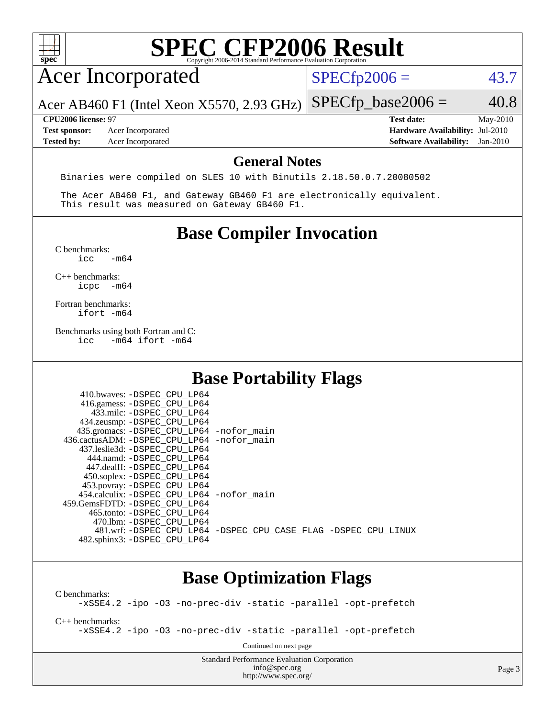| spec <sup>®</sup>                                                |                                                                                                                                                                                                                     | <b>SPEC CFP2006 Result</b><br>Copyright 2006-2014 Standard Performance Evaluation Corporation |                      |                                                                                       |                      |
|------------------------------------------------------------------|---------------------------------------------------------------------------------------------------------------------------------------------------------------------------------------------------------------------|-----------------------------------------------------------------------------------------------|----------------------|---------------------------------------------------------------------------------------|----------------------|
|                                                                  | <b>Acer Incorporated</b>                                                                                                                                                                                            |                                                                                               | $SPECfp2006 =$       |                                                                                       | 43.7                 |
|                                                                  | Acer AB460 F1 (Intel Xeon X5570, 2.93 GHz)                                                                                                                                                                          |                                                                                               | $SPECfp\_base2006 =$ |                                                                                       | 40.8                 |
| CPU2006 license: 97<br><b>Test sponsor:</b><br><b>Tested by:</b> | Acer Incorporated<br>Acer Incorporated                                                                                                                                                                              |                                                                                               |                      | <b>Test date:</b><br>Hardware Availability: Jul-2010<br><b>Software Availability:</b> | May-2010<br>Jan-2010 |
|                                                                  | Binaries were compiled on SLES 10 with Binutils 2.18.50.0.7.20080502                                                                                                                                                | <b>General Notes</b>                                                                          |                      |                                                                                       |                      |
|                                                                  | The Acer AB460 F1, and Gateway GB460 F1 are electronically equivalent.<br>This result was measured on Gateway GB460 F1.                                                                                             |                                                                                               |                      |                                                                                       |                      |
|                                                                  |                                                                                                                                                                                                                     | <b>Base Compiler Invocation</b>                                                               |                      |                                                                                       |                      |
| C benchmarks:<br>icc                                             | $-m64$                                                                                                                                                                                                              |                                                                                               |                      |                                                                                       |                      |
| $C++$ benchmarks:<br>icpc                                        | $-m64$                                                                                                                                                                                                              |                                                                                               |                      |                                                                                       |                      |
| Fortran benchmarks:<br>ifort -m64                                |                                                                                                                                                                                                                     |                                                                                               |                      |                                                                                       |                      |
| icc                                                              | Benchmarks using both Fortran and C:<br>$-m64$ ifort $-m64$                                                                                                                                                         |                                                                                               |                      |                                                                                       |                      |
|                                                                  |                                                                                                                                                                                                                     | <b>Base Portability Flags</b>                                                                 |                      |                                                                                       |                      |
|                                                                  | 410.bwaves: - DSPEC_CPU_LP64<br>416.gamess: -DSPEC CPU LP64<br>433.milc: -DSPEC CPU LP64<br>434.zeusmp: -DSPEC_CPU_LP64                                                                                             |                                                                                               |                      |                                                                                       |                      |
|                                                                  | 435.gromacs: -DSPEC_CPU_LP64 -nofor_main<br>436.cactusADM: -DSPEC_CPU_LP64 -nofor_main<br>437.leslie3d: -DSPEC_CPU_LP64<br>444.namd: - DSPEC_CPU_LP64<br>447.dealII: -DSPEC CPU LP64<br>450.soplex: -DSPEC_CPU_LP64 |                                                                                               |                      |                                                                                       |                      |
|                                                                  | 453.povray: -DSPEC_CPU_LP64<br>454.calculix: - DSPEC CPU LP64 - nofor main<br>459.GemsFDTD: - DSPEC_CPU_LP64<br>465.tonto: - DSPEC CPU LP64<br>470.1bm: -DSPEC CPU LP64                                             |                                                                                               |                      |                                                                                       |                      |
|                                                                  | 481.wrf: -DSPEC_CPU_LP64 -DSPEC_CPU_CASE_FLAG -DSPEC_CPU_LINUX<br>482.sphinx3: -DSPEC_CPU_LP64                                                                                                                      |                                                                                               |                      |                                                                                       |                      |
|                                                                  |                                                                                                                                                                                                                     | <b>Base Optimization Flags</b>                                                                |                      |                                                                                       |                      |

[C benchmarks](http://www.spec.org/auto/cpu2006/Docs/result-fields.html#Cbenchmarks):

[-xSSE4.2](http://www.spec.org/cpu2006/results/res2010q3/cpu2006-20100608-11652.flags.html#user_CCbase_f-xSSE42_f91528193cf0b216347adb8b939d4107) [-ipo](http://www.spec.org/cpu2006/results/res2010q3/cpu2006-20100608-11652.flags.html#user_CCbase_f-ipo) [-O3](http://www.spec.org/cpu2006/results/res2010q3/cpu2006-20100608-11652.flags.html#user_CCbase_f-O3) [-no-prec-div](http://www.spec.org/cpu2006/results/res2010q3/cpu2006-20100608-11652.flags.html#user_CCbase_f-no-prec-div) [-static](http://www.spec.org/cpu2006/results/res2010q3/cpu2006-20100608-11652.flags.html#user_CCbase_f-static) [-parallel](http://www.spec.org/cpu2006/results/res2010q3/cpu2006-20100608-11652.flags.html#user_CCbase_f-parallel) [-opt-prefetch](http://www.spec.org/cpu2006/results/res2010q3/cpu2006-20100608-11652.flags.html#user_CCbase_f-opt-prefetch)

[C++ benchmarks:](http://www.spec.org/auto/cpu2006/Docs/result-fields.html#CXXbenchmarks)

[-xSSE4.2](http://www.spec.org/cpu2006/results/res2010q3/cpu2006-20100608-11652.flags.html#user_CXXbase_f-xSSE42_f91528193cf0b216347adb8b939d4107) [-ipo](http://www.spec.org/cpu2006/results/res2010q3/cpu2006-20100608-11652.flags.html#user_CXXbase_f-ipo) [-O3](http://www.spec.org/cpu2006/results/res2010q3/cpu2006-20100608-11652.flags.html#user_CXXbase_f-O3) [-no-prec-div](http://www.spec.org/cpu2006/results/res2010q3/cpu2006-20100608-11652.flags.html#user_CXXbase_f-no-prec-div) [-static](http://www.spec.org/cpu2006/results/res2010q3/cpu2006-20100608-11652.flags.html#user_CXXbase_f-static) [-parallel](http://www.spec.org/cpu2006/results/res2010q3/cpu2006-20100608-11652.flags.html#user_CXXbase_f-parallel) [-opt-prefetch](http://www.spec.org/cpu2006/results/res2010q3/cpu2006-20100608-11652.flags.html#user_CXXbase_f-opt-prefetch)

Continued on next page

Standard Performance Evaluation Corporation [info@spec.org](mailto:info@spec.org) <http://www.spec.org/>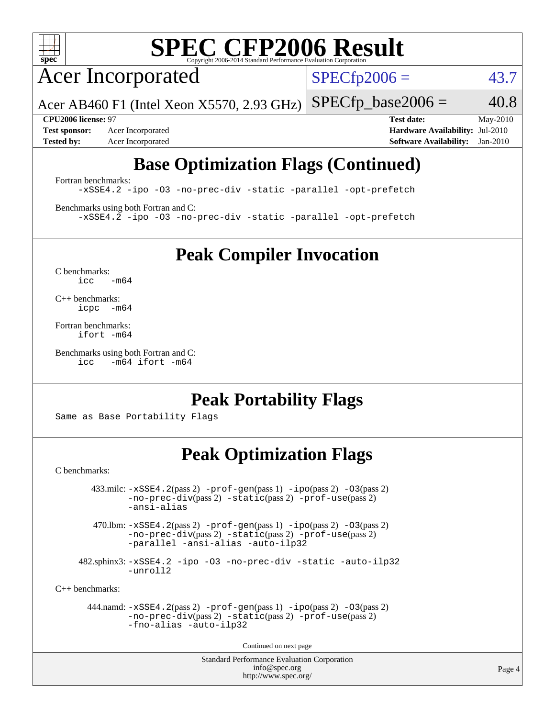

# **[SPEC CFP2006 Result](http://www.spec.org/auto/cpu2006/Docs/result-fields.html#SPECCFP2006Result)**

Acer Incorporated

 $SPECfp2006 = 43.7$  $SPECfp2006 = 43.7$ 

Acer AB460 F1 (Intel Xeon X5570, 2.93 GHz)  $SPECTp\_base2006 = 40.8$ 

**[Test sponsor:](http://www.spec.org/auto/cpu2006/Docs/result-fields.html#Testsponsor)** Acer Incorporated **[Hardware Availability:](http://www.spec.org/auto/cpu2006/Docs/result-fields.html#HardwareAvailability)** Jul-2010

**[CPU2006 license:](http://www.spec.org/auto/cpu2006/Docs/result-fields.html#CPU2006license)** 97 **[Test date:](http://www.spec.org/auto/cpu2006/Docs/result-fields.html#Testdate)** May-2010 **[Tested by:](http://www.spec.org/auto/cpu2006/Docs/result-fields.html#Testedby)** Acer Incorporated **[Software Availability:](http://www.spec.org/auto/cpu2006/Docs/result-fields.html#SoftwareAvailability)** Jan-2010

### **[Base Optimization Flags \(Continued\)](http://www.spec.org/auto/cpu2006/Docs/result-fields.html#BaseOptimizationFlags)**

[Fortran benchmarks](http://www.spec.org/auto/cpu2006/Docs/result-fields.html#Fortranbenchmarks):

[-xSSE4.2](http://www.spec.org/cpu2006/results/res2010q3/cpu2006-20100608-11652.flags.html#user_FCbase_f-xSSE42_f91528193cf0b216347adb8b939d4107) [-ipo](http://www.spec.org/cpu2006/results/res2010q3/cpu2006-20100608-11652.flags.html#user_FCbase_f-ipo) [-O3](http://www.spec.org/cpu2006/results/res2010q3/cpu2006-20100608-11652.flags.html#user_FCbase_f-O3) [-no-prec-div](http://www.spec.org/cpu2006/results/res2010q3/cpu2006-20100608-11652.flags.html#user_FCbase_f-no-prec-div) [-static](http://www.spec.org/cpu2006/results/res2010q3/cpu2006-20100608-11652.flags.html#user_FCbase_f-static) [-parallel](http://www.spec.org/cpu2006/results/res2010q3/cpu2006-20100608-11652.flags.html#user_FCbase_f-parallel) [-opt-prefetch](http://www.spec.org/cpu2006/results/res2010q3/cpu2006-20100608-11652.flags.html#user_FCbase_f-opt-prefetch)

[Benchmarks using both Fortran and C](http://www.spec.org/auto/cpu2006/Docs/result-fields.html#BenchmarksusingbothFortranandC):

[-xSSE4.2](http://www.spec.org/cpu2006/results/res2010q3/cpu2006-20100608-11652.flags.html#user_CC_FCbase_f-xSSE42_f91528193cf0b216347adb8b939d4107) [-ipo](http://www.spec.org/cpu2006/results/res2010q3/cpu2006-20100608-11652.flags.html#user_CC_FCbase_f-ipo) [-O3](http://www.spec.org/cpu2006/results/res2010q3/cpu2006-20100608-11652.flags.html#user_CC_FCbase_f-O3) [-no-prec-div](http://www.spec.org/cpu2006/results/res2010q3/cpu2006-20100608-11652.flags.html#user_CC_FCbase_f-no-prec-div) [-static](http://www.spec.org/cpu2006/results/res2010q3/cpu2006-20100608-11652.flags.html#user_CC_FCbase_f-static) [-parallel](http://www.spec.org/cpu2006/results/res2010q3/cpu2006-20100608-11652.flags.html#user_CC_FCbase_f-parallel) [-opt-prefetch](http://www.spec.org/cpu2006/results/res2010q3/cpu2006-20100608-11652.flags.html#user_CC_FCbase_f-opt-prefetch)

**[Peak Compiler Invocation](http://www.spec.org/auto/cpu2006/Docs/result-fields.html#PeakCompilerInvocation)**

[C benchmarks](http://www.spec.org/auto/cpu2006/Docs/result-fields.html#Cbenchmarks):  $icc$   $-m64$ 

[C++ benchmarks:](http://www.spec.org/auto/cpu2006/Docs/result-fields.html#CXXbenchmarks) [icpc -m64](http://www.spec.org/cpu2006/results/res2010q3/cpu2006-20100608-11652.flags.html#user_CXXpeak_intel_icpc_64bit_bedb90c1146cab66620883ef4f41a67e)

[Fortran benchmarks](http://www.spec.org/auto/cpu2006/Docs/result-fields.html#Fortranbenchmarks): [ifort -m64](http://www.spec.org/cpu2006/results/res2010q3/cpu2006-20100608-11652.flags.html#user_FCpeak_intel_ifort_64bit_ee9d0fb25645d0210d97eb0527dcc06e)

[Benchmarks using both Fortran and C](http://www.spec.org/auto/cpu2006/Docs/result-fields.html#BenchmarksusingbothFortranandC): [icc -m64](http://www.spec.org/cpu2006/results/res2010q3/cpu2006-20100608-11652.flags.html#user_CC_FCpeak_intel_icc_64bit_0b7121f5ab7cfabee23d88897260401c) [ifort -m64](http://www.spec.org/cpu2006/results/res2010q3/cpu2006-20100608-11652.flags.html#user_CC_FCpeak_intel_ifort_64bit_ee9d0fb25645d0210d97eb0527dcc06e)

### **[Peak Portability Flags](http://www.spec.org/auto/cpu2006/Docs/result-fields.html#PeakPortabilityFlags)**

Same as Base Portability Flags

### **[Peak Optimization Flags](http://www.spec.org/auto/cpu2006/Docs/result-fields.html#PeakOptimizationFlags)**

[C benchmarks](http://www.spec.org/auto/cpu2006/Docs/result-fields.html#Cbenchmarks):

 $433 \text{.}$ milc:  $-xSSE4$ .  $2(pass 2)$  - $prof-gen(pass 1)$  - $ipo(pass 2)$  [-O3](http://www.spec.org/cpu2006/results/res2010q3/cpu2006-20100608-11652.flags.html#user_peakPASS2_CFLAGSPASS2_LDFLAGS433_milc_f-O3) $(pass 2)$ [-no-prec-div](http://www.spec.org/cpu2006/results/res2010q3/cpu2006-20100608-11652.flags.html#user_peakPASS2_CFLAGSPASS2_LDFLAGS433_milc_f-no-prec-div)(pass 2) [-static](http://www.spec.org/cpu2006/results/res2010q3/cpu2006-20100608-11652.flags.html#user_peakPASS2_CFLAGSPASS2_LDFLAGS433_milc_f-static)(pass 2) [-prof-use](http://www.spec.org/cpu2006/results/res2010q3/cpu2006-20100608-11652.flags.html#user_peakPASS2_CFLAGSPASS2_LDFLAGS433_milc_prof_use_bccf7792157ff70d64e32fe3e1250b55)(pass 2) [-ansi-alias](http://www.spec.org/cpu2006/results/res2010q3/cpu2006-20100608-11652.flags.html#user_peakOPTIMIZE433_milc_f-ansi-alias)

470.lbm:  $-xSSE4$ . 2(pass 2)  $-prof-gen(pass 1) -ipo(pass 2) -O3(pass 2)$  $-prof-gen(pass 1) -ipo(pass 2) -O3(pass 2)$  $-prof-gen(pass 1) -ipo(pass 2) -O3(pass 2)$  $-prof-gen(pass 1) -ipo(pass 2) -O3(pass 2)$  $-prof-gen(pass 1) -ipo(pass 2) -O3(pass 2)$  $-prof-gen(pass 1) -ipo(pass 2) -O3(pass 2)$ [-no-prec-div](http://www.spec.org/cpu2006/results/res2010q3/cpu2006-20100608-11652.flags.html#user_peakPASS2_CFLAGSPASS2_LDFLAGS470_lbm_f-no-prec-div)(pass 2) [-static](http://www.spec.org/cpu2006/results/res2010q3/cpu2006-20100608-11652.flags.html#user_peakPASS2_CFLAGSPASS2_LDFLAGS470_lbm_f-static)(pass 2) [-prof-use](http://www.spec.org/cpu2006/results/res2010q3/cpu2006-20100608-11652.flags.html#user_peakPASS2_CFLAGSPASS2_LDFLAGS470_lbm_prof_use_bccf7792157ff70d64e32fe3e1250b55)(pass 2) [-parallel](http://www.spec.org/cpu2006/results/res2010q3/cpu2006-20100608-11652.flags.html#user_peakOPTIMIZE470_lbm_f-parallel) [-ansi-alias](http://www.spec.org/cpu2006/results/res2010q3/cpu2006-20100608-11652.flags.html#user_peakOPTIMIZE470_lbm_f-ansi-alias) [-auto-ilp32](http://www.spec.org/cpu2006/results/res2010q3/cpu2006-20100608-11652.flags.html#user_peakCOPTIMIZE470_lbm_f-auto-ilp32)

 482.sphinx3: [-xSSE4.2](http://www.spec.org/cpu2006/results/res2010q3/cpu2006-20100608-11652.flags.html#user_peakOPTIMIZE482_sphinx3_f-xSSE42_f91528193cf0b216347adb8b939d4107) [-ipo](http://www.spec.org/cpu2006/results/res2010q3/cpu2006-20100608-11652.flags.html#user_peakOPTIMIZE482_sphinx3_f-ipo) [-O3](http://www.spec.org/cpu2006/results/res2010q3/cpu2006-20100608-11652.flags.html#user_peakOPTIMIZE482_sphinx3_f-O3) [-no-prec-div](http://www.spec.org/cpu2006/results/res2010q3/cpu2006-20100608-11652.flags.html#user_peakOPTIMIZE482_sphinx3_f-no-prec-div) [-static](http://www.spec.org/cpu2006/results/res2010q3/cpu2006-20100608-11652.flags.html#user_peakOPTIMIZE482_sphinx3_f-static) [-auto-ilp32](http://www.spec.org/cpu2006/results/res2010q3/cpu2006-20100608-11652.flags.html#user_peakCOPTIMIZE482_sphinx3_f-auto-ilp32) [-unroll2](http://www.spec.org/cpu2006/results/res2010q3/cpu2006-20100608-11652.flags.html#user_peakCOPTIMIZE482_sphinx3_f-unroll_784dae83bebfb236979b41d2422d7ec2)

[C++ benchmarks:](http://www.spec.org/auto/cpu2006/Docs/result-fields.html#CXXbenchmarks)

 444.namd: [-xSSE4.2](http://www.spec.org/cpu2006/results/res2010q3/cpu2006-20100608-11652.flags.html#user_peakPASS2_CXXFLAGSPASS2_LDFLAGS444_namd_f-xSSE42_f91528193cf0b216347adb8b939d4107)(pass 2) [-prof-gen](http://www.spec.org/cpu2006/results/res2010q3/cpu2006-20100608-11652.flags.html#user_peakPASS1_CXXFLAGSPASS1_LDFLAGS444_namd_prof_gen_e43856698f6ca7b7e442dfd80e94a8fc)(pass 1) [-ipo](http://www.spec.org/cpu2006/results/res2010q3/cpu2006-20100608-11652.flags.html#user_peakPASS2_CXXFLAGSPASS2_LDFLAGS444_namd_f-ipo)(pass 2) [-O3](http://www.spec.org/cpu2006/results/res2010q3/cpu2006-20100608-11652.flags.html#user_peakPASS2_CXXFLAGSPASS2_LDFLAGS444_namd_f-O3)(pass 2) [-no-prec-div](http://www.spec.org/cpu2006/results/res2010q3/cpu2006-20100608-11652.flags.html#user_peakPASS2_CXXFLAGSPASS2_LDFLAGS444_namd_f-no-prec-div)(pass 2) [-static](http://www.spec.org/cpu2006/results/res2010q3/cpu2006-20100608-11652.flags.html#user_peakPASS2_CXXFLAGSPASS2_LDFLAGS444_namd_f-static)(pass 2) [-prof-use](http://www.spec.org/cpu2006/results/res2010q3/cpu2006-20100608-11652.flags.html#user_peakPASS2_CXXFLAGSPASS2_LDFLAGS444_namd_prof_use_bccf7792157ff70d64e32fe3e1250b55)(pass 2) [-fno-alias](http://www.spec.org/cpu2006/results/res2010q3/cpu2006-20100608-11652.flags.html#user_peakOPTIMIZE444_namd_f-no-alias_694e77f6c5a51e658e82ccff53a9e63a) [-auto-ilp32](http://www.spec.org/cpu2006/results/res2010q3/cpu2006-20100608-11652.flags.html#user_peakCXXOPTIMIZE444_namd_f-auto-ilp32)

Continued on next page

Standard Performance Evaluation Corporation [info@spec.org](mailto:info@spec.org) <http://www.spec.org/>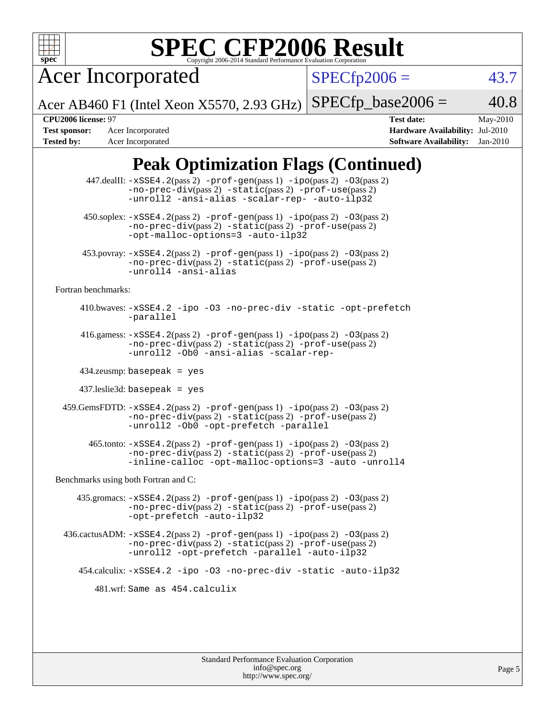

# **[SPEC CFP2006 Result](http://www.spec.org/auto/cpu2006/Docs/result-fields.html#SPECCFP2006Result)**

Acer Incorporated

 $SPECfp2006 = 43.7$  $SPECfp2006 = 43.7$ 

Acer AB460 F1 (Intel Xeon X5570, 2.93 GHz)  $SPECTp\_base2006 = 40.8$ 

**[Test sponsor:](http://www.spec.org/auto/cpu2006/Docs/result-fields.html#Testsponsor)** Acer Incorporated **[Hardware Availability:](http://www.spec.org/auto/cpu2006/Docs/result-fields.html#HardwareAvailability)** Jul-2010 **[Tested by:](http://www.spec.org/auto/cpu2006/Docs/result-fields.html#Testedby)** Acer Incorporated **[Software Availability:](http://www.spec.org/auto/cpu2006/Docs/result-fields.html#SoftwareAvailability)** Jan-2010

**[CPU2006 license:](http://www.spec.org/auto/cpu2006/Docs/result-fields.html#CPU2006license)** 97 **[Test date:](http://www.spec.org/auto/cpu2006/Docs/result-fields.html#Testdate)** May-2010

### **[Peak Optimization Flags \(Continued\)](http://www.spec.org/auto/cpu2006/Docs/result-fields.html#PeakOptimizationFlags)**

|                                      | 447.dealII: -xSSE4.2(pass 2) -prof-gen(pass 1) -ipo(pass 2) -03(pass 2)<br>$-no-prec-div(pass 2) -static(pass 2) -prof-use(pass 2)$<br>-unroll2 -ansi-alias -scalar-rep- -auto-ilp32                                                 |  |  |  |  |  |
|--------------------------------------|--------------------------------------------------------------------------------------------------------------------------------------------------------------------------------------------------------------------------------------|--|--|--|--|--|
|                                      | $450.\text{soplex: } -x\text{SSE4}.2(\text{pass 2}) - \text{prof-gen}(\text{pass 1}) - \text{ipo}(\text{pass 2}) - 03(\text{pass 2})$<br>-no-prec-div(pass 2) -static(pass 2) -prof-use(pass 2)<br>-opt-malloc-options=3 -auto-ilp32 |  |  |  |  |  |
|                                      | 453.povray: -xSSE4.2(pass 2) -prof-gen(pass 1) -ipo(pass 2) -03(pass 2)<br>-no-prec-div(pass 2) -static(pass 2) -prof-use(pass 2)<br>-unroll4 -ansi-alias                                                                            |  |  |  |  |  |
| Fortran benchmarks:                  |                                                                                                                                                                                                                                      |  |  |  |  |  |
|                                      | 410.bwaves: -xSSE4.2 -ipo -03 -no-prec-div -static -opt-prefetch<br>-parallel                                                                                                                                                        |  |  |  |  |  |
|                                      | 416.gamess: $-xSSE4$ . $2(pass 2)$ -prof-gen(pass 1) -ipo(pass 2) -03(pass 2)<br>-no-prec-div(pass 2) -static(pass 2) -prof-use(pass 2)<br>-unroll2 -Ob0 -ansi-alias -scalar-rep-                                                    |  |  |  |  |  |
|                                      | $434$ .zeusmp: basepeak = yes                                                                                                                                                                                                        |  |  |  |  |  |
|                                      | $437$ .leslie3d: basepeak = yes                                                                                                                                                                                                      |  |  |  |  |  |
|                                      | 459. GemsFDTD: -xSSE4. 2(pass 2) -prof-gen(pass 1) -ipo(pass 2) -03(pass 2)<br>-no-prec-div(pass 2) -static(pass 2) -prof-use(pass 2)<br>-unroll2 -0b0 -opt-prefetch -parallel                                                       |  |  |  |  |  |
|                                      | $465$ .tonto: $-xSSE4$ . $2(pass 2)$ -prof-gen $(pass 1)$ -ipo $(pass 2)$ -03 $(pass 2)$<br>-no-prec-div(pass 2) -static(pass 2) -prof-use(pass 2)<br>-inline-calloc -opt-malloc-options=3 -auto -unroll4                            |  |  |  |  |  |
| Benchmarks using both Fortran and C: |                                                                                                                                                                                                                                      |  |  |  |  |  |
|                                      | 435.gromacs: -xSSE4.2(pass 2) -prof-gen(pass 1) -ipo(pass 2) -03(pass 2)<br>-no-prec-div(pass 2) -static(pass 2) -prof-use(pass 2)<br>-opt-prefetch -auto-ilp32                                                                      |  |  |  |  |  |
|                                      | 436.cactusADM: -xSSE4.2(pass 2) -prof-gen(pass 1) -ipo(pass 2) -03(pass 2)<br>-no-prec-div(pass 2) -static(pass 2) -prof-use(pass 2)<br>-unroll2 -opt-prefetch -parallel -auto-ilp32                                                 |  |  |  |  |  |
|                                      | 454.calculix: -xSSE4.2 -ipo -03 -no-prec-div -static -auto-ilp32                                                                                                                                                                     |  |  |  |  |  |
|                                      | 481.wrf: Same as 454.calculix                                                                                                                                                                                                        |  |  |  |  |  |
|                                      |                                                                                                                                                                                                                                      |  |  |  |  |  |